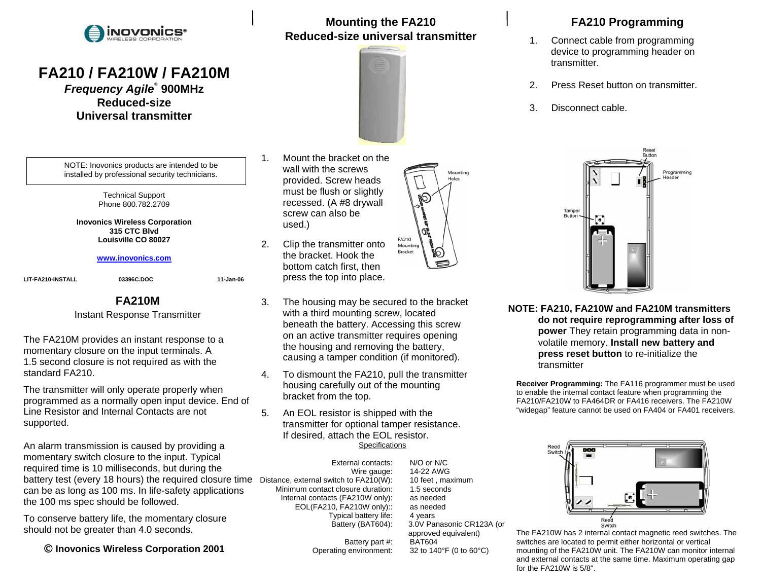

# **FA210 / FA210W / FA210M**

*Frequency Agile*® **900MHz Reduced-size Universal transmitter** 

NOTE: Inovonics products are intended to be installed by professional security technicians.

> Technical Support Phone 800.782.2709

**Inovonics Wireless Corporation 315 CTC Blvd Louisville CO 80027** 

#### **www.inovonics.com**

**LIT-FA210-INSTALL 03396C.DOC 11-Jan-06**

#### **FA210M**

Instant Response Transmitter

The FA210M provides an instant response to a momentary closure on the input terminals. A 1.5 second closure is not required as with the standard FA210.

The transmitter will only operate properly when programmed as a normally open input device. End of Line Resistor and Internal Contacts are not supported.

An alarm transmission is caused by providing a momentary switch closure to the input. Typical required time is 10 milliseconds, but during the battery test (every 18 hours) the required closure time Distance, external switch to FA210(W): 10 feet , maximum can be as long as 100 ms. In life-safety applications the 100 ms spec should be followed.

To conserve battery life, the momentary closure should not be greater than 4.0 seconds.

© **Inovonics Wireless Corporation 2001** 

- 1. Mount the bracket on the wall with the screws provided. Screw heads must be flush or slightly recessed. (A #8 drywall screw can also be used.)
- 2. Clip the transmitter onto the bracket. Hook the bottom catch first, then press the top into place.
- 3. The housing may be secured to the bracket with a third mounting screw, located beneath the battery. Accessing this screw on an active transmitter requires opening the housing and removing the battery, causing a tamper condition (if monitored).

**Mounting the FA210 Reduced-size universal transmitter** 

- 4. To dismount the FA210, pull the transmitter housing carefully out of the mounting bracket from the top.
- 5. An EOL resistor is shipped with the transmitter for optional tamper resistance. If desired, attach the EOL resistor. **Specifications**

 External contacts: N/O or N/C Minimum contact closure duration: 1.5 seconds Internal contacts (FA210W only): as needed EOL(FA210, FA210W only):: as needed Typical battery life: 4 years<br>Battery (BAT604): 3.0V Par

Battery part #: BAT604

 Wire gauge: 14-22 AWG 3.0V Panasonic CR123A (or approved equivalent) Operating environment: 32 to 140°F (0 to 60°C)

### **FA210 Programming**

- 1. Connect cable from programming device to programming header on transmitter.
- 2. Press Reset button on transmitter.
- 3. Disconnect cable.



**NOTE: FA210, FA210W and FA210M transmitters do not require reprogramming after loss of power** They retain programming data in nonvolatile memory. **Install new battery and press reset button** to re-initialize the transmitter

**Receiver Programming:** The FA116 programmer must be used to enable the internal contact feature when programming the FA210/FA210W to FA464DR or FA416 receivers. The FA210W "widegap" feature cannot be used on FA404 or FA401 receivers.



The FA210W has 2 internal contact magnetic reed switches. The switches are located to permit either horizontal or vertical mounting of the FA210W unit. The FA210W can monitor internal and external contacts at the same time. Maximum operating gap for the FA210W is 5/8".